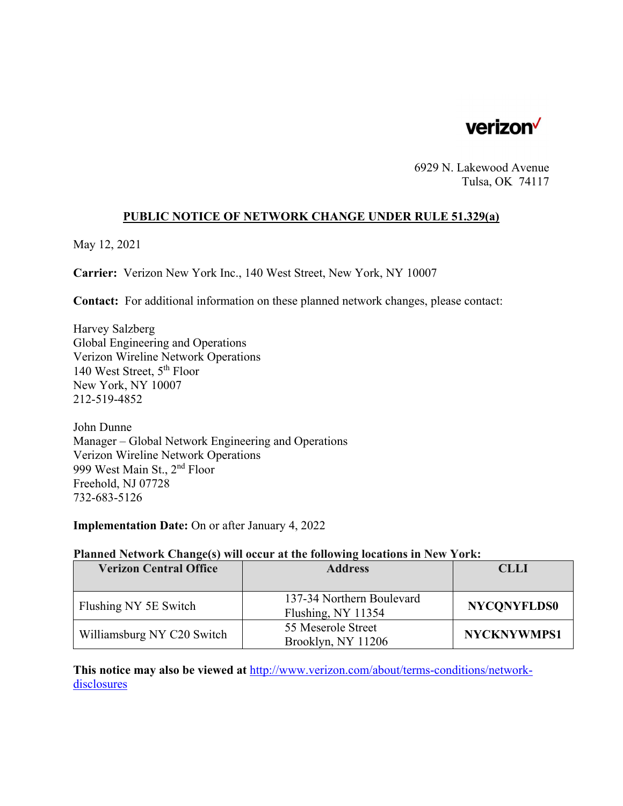

6929 N. Lakewood Avenue Tulsa, OK 74117

#### **PUBLIC NOTICE OF NETWORK CHANGE UNDER RULE 51.329(a)**

May 12, 2021

**Carrier:** Verizon New York Inc., 140 West Street, New York, NY 10007

**Contact:** For additional information on these planned network changes, please contact:

Harvey Salzberg Global Engineering and Operations Verizon Wireline Network Operations 140 West Street, 5th Floor New York, NY 10007 212-519-4852

John Dunne Manager – Global Network Engineering and Operations Verizon Wireline Network Operations 999 West Main St., 2nd Floor Freehold, NJ 07728 732-683-5126

**Implementation Date:** On or after January 4, 2022

#### **Planned Network Change(s) will occur at the following locations in New York:**

| <b>Verizon Central Office</b> | <b>Address</b>                                  | <b>CLLI</b>        |
|-------------------------------|-------------------------------------------------|--------------------|
|                               |                                                 |                    |
| Flushing NY 5E Switch         | 137-34 Northern Boulevard<br>Flushing, NY 11354 | <b>NYCONYFLDS0</b> |
| Williamsburg NY C20 Switch    | 55 Meserole Street<br>Brooklyn, NY 11206        | <b>NYCKNYWMPS1</b> |

**This notice may also be viewed at** http://www.verizon.com/about/terms-conditions/networkdisclosures